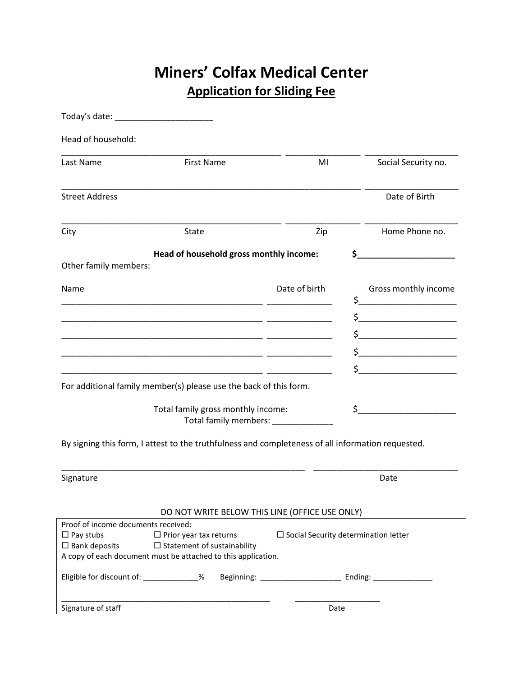## **Miners' Colfax Medical Center Application for Sliding Fee**

| Head of household:                          |                                                                                                                                      |                                             |     |                                    |
|---------------------------------------------|--------------------------------------------------------------------------------------------------------------------------------------|---------------------------------------------|-----|------------------------------------|
| Last Name                                   | <b>First Name</b>                                                                                                                    | MI                                          |     | Social Security no.                |
| <b>Street Address</b>                       |                                                                                                                                      |                                             |     | Date of Birth                      |
| City                                        | State                                                                                                                                | Zip                                         |     | Home Phone no.                     |
|                                             | Head of household gross monthly income:                                                                                              |                                             | \$. |                                    |
| Other family members:                       |                                                                                                                                      |                                             |     |                                    |
| Name                                        |                                                                                                                                      | Date of birth                               |     | Gross monthly income               |
|                                             | <u> 1980 - Jan Sterling, mars and de la provincia de la provincia de la provincia de la provincia de la provincia</u>                |                                             |     |                                    |
|                                             |                                                                                                                                      |                                             |     |                                    |
|                                             |                                                                                                                                      |                                             |     | $\begin{array}{c}\n5\n\end{array}$ |
|                                             |                                                                                                                                      |                                             |     |                                    |
|                                             |                                                                                                                                      |                                             |     | $\sharp$                           |
|                                             | For additional family member(s) please use the back of this form.                                                                    |                                             |     |                                    |
|                                             | Total family gross monthly income:<br>Total family members: ____________                                                             |                                             | \$_ |                                    |
|                                             | By signing this form, I attest to the truthfulness and completeness of all information requested.                                    |                                             |     |                                    |
| Signature                                   |                                                                                                                                      |                                             |     | Date                               |
|                                             | DO NOT WRITE BELOW THIS LINE (OFFICE USE ONLY)                                                                                       |                                             |     |                                    |
| Proof of income documents received:         |                                                                                                                                      |                                             |     |                                    |
| $\Box$ Pay stubs<br>$\square$ Bank deposits | $\Box$ Prior year tax returns<br>$\Box$ Statement of sustainability<br>A copy of each document must be attached to this application. | $\Box$ Social Security determination letter |     |                                    |
| Eligible for discount of: ____________%     |                                                                                                                                      |                                             |     |                                    |
| Signature of staff                          |                                                                                                                                      | Date                                        |     |                                    |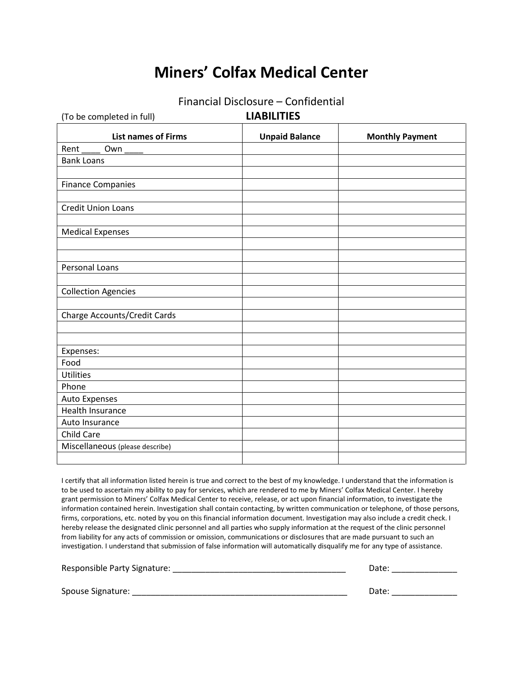## **Miners' Colfax Medical Center**

|  | Financial Disclosure - Confidential |
|--|-------------------------------------|
|--|-------------------------------------|

| (To be completed in full)       | <b>LIABILITIES</b>    |                        |  |
|---------------------------------|-----------------------|------------------------|--|
| <b>List names of Firms</b>      | <b>Unpaid Balance</b> | <b>Monthly Payment</b> |  |
| Own<br>Rent                     |                       |                        |  |
| <b>Bank Loans</b>               |                       |                        |  |
|                                 |                       |                        |  |
| <b>Finance Companies</b>        |                       |                        |  |
|                                 |                       |                        |  |
| <b>Credit Union Loans</b>       |                       |                        |  |
|                                 |                       |                        |  |
| <b>Medical Expenses</b>         |                       |                        |  |
|                                 |                       |                        |  |
|                                 |                       |                        |  |
| Personal Loans                  |                       |                        |  |
|                                 |                       |                        |  |
| <b>Collection Agencies</b>      |                       |                        |  |
|                                 |                       |                        |  |
| Charge Accounts/Credit Cards    |                       |                        |  |
|                                 |                       |                        |  |
|                                 |                       |                        |  |
| Expenses:<br>Food               |                       |                        |  |
| <b>Utilities</b>                |                       |                        |  |
| Phone                           |                       |                        |  |
| Auto Expenses                   |                       |                        |  |
| <b>Health Insurance</b>         |                       |                        |  |
| Auto Insurance                  |                       |                        |  |
| <b>Child Care</b>               |                       |                        |  |
| Miscellaneous (please describe) |                       |                        |  |
|                                 |                       |                        |  |

I certify that all information listed herein is true and correct to the best of my knowledge. I understand that the information is to be used to ascertain my ability to pay for services, which are rendered to me by Miners' Colfax Medical Center. I hereby grant permission to Miners' Colfax Medical Center to receive, release, or act upon financial information, to investigate the information contained herein. Investigation shall contain contacting, by written communication or telephone, of those persons, firms, corporations, etc. noted by you on this financial information document. Investigation may also include a credit check. I hereby release the designated clinic personnel and all parties who supply information at the request of the clinic personnel from liability for any acts of commission or omission, communications or disclosures that are made pursuant to such an investigation. I understand that submission of false information will automatically disqualify me for any type of assistance.

| Responsible Party Signature: | Date: |  |
|------------------------------|-------|--|
|                              |       |  |
| Spouse Signature:            | Date: |  |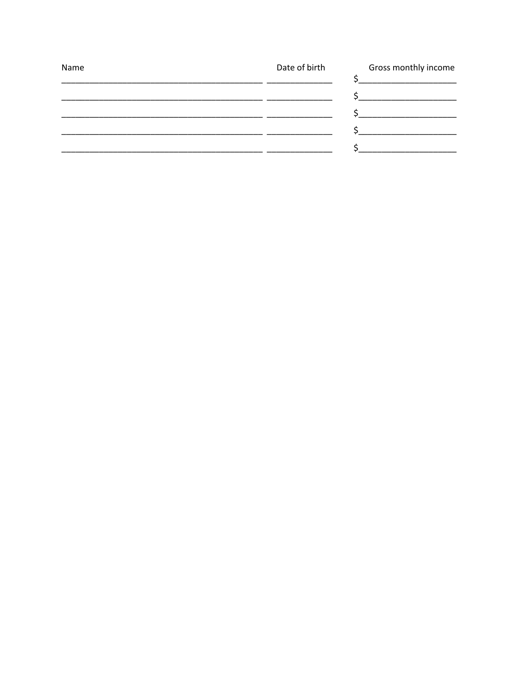| Date of birth | Gross monthly income |
|---------------|----------------------|
|               |                      |
|               |                      |
|               |                      |
|               |                      |
|               |                      |
|               |                      |